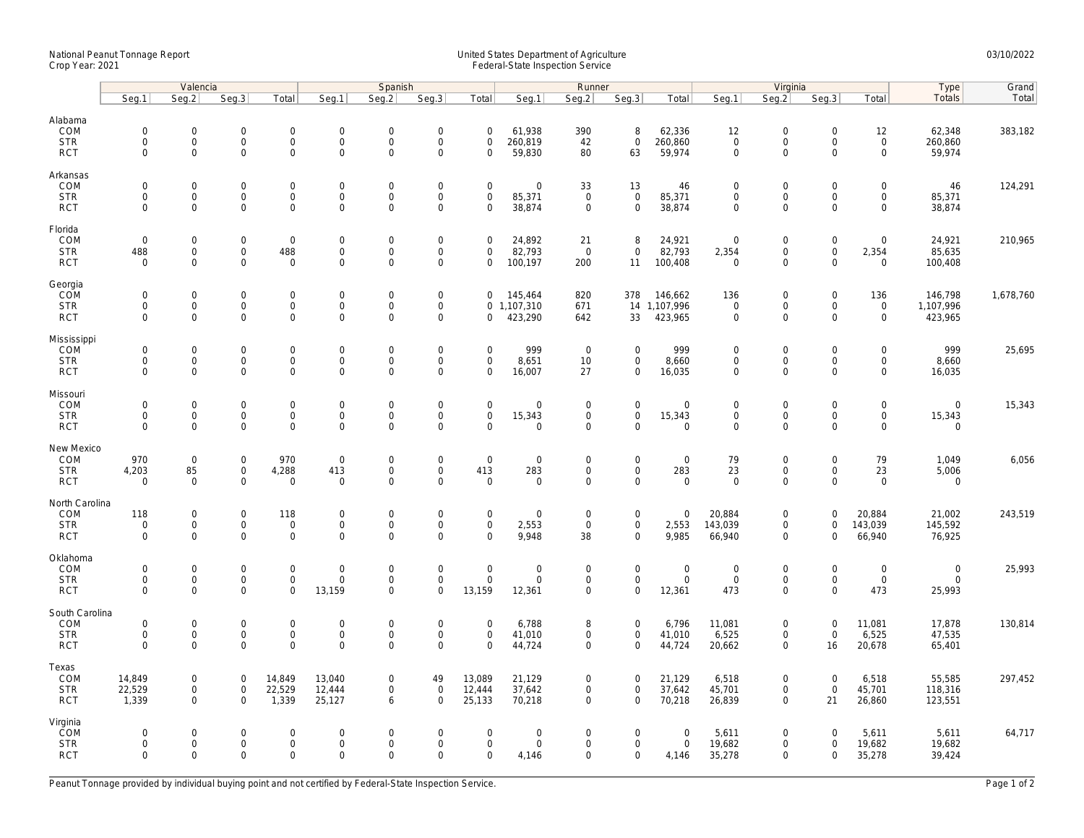## National Peanut Tonnage Report United States Department of Agriculture 03/10/2022<br>Crop Year: 2021 Federal-State Inspection Service

|                                                   | Valencia                                                   |                                                   |                                                   |                                                    |                                                      | Spanish                                           |                                                           |                                                   | Runner                               |                                            |                                                            |                                                | Virginia                                  |                                                           |                                           |                                                    | Type                                  | Grand     |
|---------------------------------------------------|------------------------------------------------------------|---------------------------------------------------|---------------------------------------------------|----------------------------------------------------|------------------------------------------------------|---------------------------------------------------|-----------------------------------------------------------|---------------------------------------------------|--------------------------------------|--------------------------------------------|------------------------------------------------------------|------------------------------------------------|-------------------------------------------|-----------------------------------------------------------|-------------------------------------------|----------------------------------------------------|---------------------------------------|-----------|
|                                                   | Seg.1                                                      | Seq.2                                             | Seq.3                                             | Total                                              | Seg.1                                                | Seq.2                                             | Seg.3                                                     | Total                                             | Seg.1                                | Seg.2                                      | Seq.3                                                      | Total                                          | Seg.1                                     | Seg.2                                                     | Seq.3                                     | Total                                              | Totals                                | Total     |
| Alabama<br>COM<br><b>STR</b><br><b>RCT</b>        | $\mathsf{O}\xspace$<br>0<br>$\mathbf 0$                    | 0<br>$\mathsf{O}\xspace$<br>$\mathbf 0$           | $\mathbf 0$<br>$\mathsf{O}\xspace$<br>$\mathsf 0$ | $\mathsf 0$<br>$\mathsf{O}\xspace$<br>$\mathbf 0$  | $\mathbf 0$<br>$\mathbf 0$<br>$\mathsf 0$            | $\mathbf 0$<br>$\mathbf 0$<br>$\mathbf 0$         | $\mathbf 0$<br>$\mathsf{O}\xspace$<br>$\mathbf 0$         | $\mathsf{O}\xspace$<br>$\mathbf 0$<br>$\mathbf 0$ | 61,938<br>260,819<br>59,830          | 390<br>42<br>80                            | 8<br>$\mathsf{O}\xspace$<br>63                             | 62,336<br>260,860<br>59,974                    | 12<br>$\mathbf 0$<br>$\mathbf 0$          | $\mathsf{O}\xspace$<br>$\mathsf{O}\xspace$<br>$\mathbf 0$ | $\mathbf 0$<br>$\mathbf 0$<br>$\mathbf 0$ | 12<br>$\mathsf{O}\xspace$<br>$\mathsf{O}$          | 62,348<br>260,860<br>59,974           | 383,182   |
| Arkansas<br>COM<br><b>STR</b><br><b>RCT</b>       | $\mathbf 0$<br>$\mathbf 0$<br>$\mathbf{0}$                 | 0<br>$\mathbf 0$<br>0                             | $\mathbf 0$<br>$\mathbf 0$<br>$\mathsf{O}\xspace$ | $\mathsf 0$<br>$\mathbf{0}$<br>$\mathbf 0$         | $\mathbf 0$<br>$\mathbf{0}$<br>$\mathsf{O}\xspace$   | $\mathbf 0$<br>$\mathbf 0$<br>$\mathbf 0$         | $\mathbf 0$<br>$\mathsf{O}\xspace$<br>$\mathsf 0$         | $\mathbf 0$<br>$\mathbf 0$<br>$\mathbf 0$         | 0<br>85,371<br>38,874                | 33<br>$\mathbf 0$<br>$\mathsf 0$           | 13<br>$\mathbf 0$<br>$\mathbf 0$                           | 46<br>85,371<br>38,874                         | $\mathbf 0$<br>$\mathbf 0$<br>$\mathbf 0$ | $\mathbf 0$<br>$\mathbf 0$<br>$\mathbf 0$                 | $\mathbf 0$<br>$\mathbf 0$<br>$\mathbf 0$ | $\mathsf{O}\xspace$<br>$\mathbf{0}$<br>$\mathbf 0$ | 46<br>85,371<br>38,874                | 124,291   |
| Florida<br>COM<br><b>STR</b><br><b>RCT</b>        | $\mathsf{O}\xspace$<br>488<br>$\Omega$                     | 0<br>0<br>$\Omega$                                | $\mathbf 0$<br>$\mathsf 0$<br>$\mathbf 0$         | $\mathsf 0$<br>488<br>$\mathbf 0$                  | $\mathbf 0$<br>$\boldsymbol{0}$<br>$\mathbf 0$       | $\mathsf{O}\xspace$<br>$\mathbf 0$<br>$\Omega$    | $\mathsf 0$<br>$\mathsf 0$<br>$\mathsf 0$                 | $\mathbf 0$<br>$\mathbf 0$<br>$\Omega$            | 24,892<br>82,793<br>100,197          | 21<br>$\overline{0}$<br>200                | 8<br>$\mathbf 0$<br>11                                     | 24,921<br>82,793<br>100,408                    | $\mathbf 0$<br>2,354<br>$\Omega$          | $\mathsf{O}\xspace$<br>$\mathsf{O}\xspace$<br>$\Omega$    | $\mathbf 0$<br>$\mathbf 0$<br>$\Omega$    | $\mathsf{O}\xspace$<br>2,354<br>$\Omega$           | 24,921<br>85,635<br>100,408           | 210,965   |
| Georgia<br>COM<br><b>STR</b><br><b>RCT</b>        | $\mathsf{O}\xspace$<br>$\mathbf 0$<br>$\mathbf{0}$         | 0<br>0<br>$\mathbf 0$                             | $\mathbf 0$<br>$\mathsf{O}\xspace$<br>$\mathbf 0$ | $\mathsf 0$<br>$\mathsf{O}$<br>$\mathbf{0}$        | $\boldsymbol{0}$<br>$\mathbf 0$<br>$\mathbf{0}$      | $\mathbf 0$<br>$\mathsf{O}\xspace$<br>$\mathbf 0$ | $\mathsf{O}\xspace$<br>$\mathsf{O}\xspace$<br>$\mathbf 0$ | $\mathbf 0$<br>$\mathbf 0$                        | 145,464<br>0, 1, 107, 310<br>423,290 | 820<br>671<br>642                          | 378<br>33                                                  | 146,662<br>14 1,107,996<br>423,965             | 136<br>$\mathbf 0$<br>$\mathbf 0$         | $\mathbf 0$<br>$\mathsf{O}\xspace$<br>$\mathbf 0$         | $\mathbf 0$<br>0<br>$\Omega$              | 136<br>$\mathsf{O}\xspace$<br>$\mathbf{0}$         | 146,798<br>1,107,996<br>423,965       | 1,678,760 |
| Mississippi<br>COM<br><b>STR</b><br><b>RCT</b>    | $\mathbf 0$<br>$\mathsf{O}\xspace$<br>$\mathbf 0$          | $\mathbf 0$<br>$\mathsf{O}\xspace$<br>$\mathbf 0$ | $\mathbf 0$<br>$\mathbf 0$<br>$\mathbf 0$         | $\mathbf 0$<br>$\mathbf 0$<br>$\mathbf 0$          | $\boldsymbol{0}$<br>$\boldsymbol{0}$<br>$\mathbf{0}$ | $\mathbf 0$<br>$\mathbf 0$<br>$\mathbf 0$         | $\mathsf{O}\xspace$<br>$\mathsf{O}\xspace$<br>$\mathbf 0$ | $\mathbf 0$<br>$\mathbf 0$<br>$\mathbf 0$         | 999<br>8,651<br>16,007               | $\overline{0}$<br>10<br>27                 | $\mathbf 0$<br>$\mathsf{O}$<br>$\mathbf 0$                 | 999<br>8,660<br>16,035                         | $\mathbf 0$<br>$\mathbf 0$<br>$\mathbf 0$ | $\mathsf{O}\xspace$<br>$\mathsf 0$<br>$\mathbf 0$         | $\Omega$<br>$\mathbf 0$<br>$\mathbf 0$    | $\mathbf 0$<br>$\mathsf{O}$<br>$\mathbf 0$         | 999<br>8,660<br>16,035                | 25,695    |
| Missouri<br>COM<br><b>STR</b><br><b>RCT</b>       | $\mathbf 0$<br>$\mathbf 0$<br>$\mathbf 0$                  | $\mathbf 0$<br>0<br>0                             | $\mathbf 0$<br>$\mathsf 0$<br>$\mathsf{O}\xspace$ | $\mathsf{O}$<br>$\mathsf{O}\xspace$<br>$\mathbf 0$ | $\mathbf 0$<br>$\boldsymbol{0}$<br>$\mathbf 0$       | $\mathbf 0$<br>$\mathsf{O}\xspace$<br>$\mathbf 0$ | $\mathbf 0$<br>$\mathsf{O}\xspace$<br>$\mathbf 0$         | $\mathbf 0$<br>$\mathbf 0$<br>$\Omega$            | $\mathbf 0$<br>15,343<br>$\mathbf 0$ | $\mathbf{0}$<br>$\mathbf 0$<br>$\mathbf 0$ | $\mathbf 0$<br>$\mathsf{O}\xspace$<br>$\mathbf 0$          | $\mathbf 0$<br>15,343<br>$\mathbf 0$           | $\mathbf 0$<br>$\mathsf 0$<br>$\mathbf 0$ | $\mathbf 0$<br>$\mathsf{O}\xspace$<br>$\mathbf 0$         | $\mathbf 0$<br>$\mathbf 0$<br>$\mathbf 0$ | $\mathbf 0$<br>$\mathbf 0$<br>$\mathsf{O}\xspace$  | $\mathbf{0}$<br>15,343<br>$\mathbf 0$ | 15,343    |
| New Mexico<br>COM<br><b>STR</b><br><b>RCT</b>     | 970<br>4,203<br>$\mathbf 0$                                | $\mathbf 0$<br>85<br>$\mathbf 0$                  | $\mathbf 0$<br>$\mathsf 0$<br>$\mathsf{O}\xspace$ | 970<br>4,288<br>$\mathsf 0$                        | $\mathbf 0$<br>413<br>$\mathbf 0$                    | $\mathsf{O}\xspace$<br>$\mathbf 0$<br>$\mathbf 0$ | $\mathsf 0$<br>$\overline{0}$<br>$\overline{0}$           | $\mathbf 0$<br>413<br>$\mathbf 0$                 | 0<br>283<br>$\mathbf 0$              | $\mathsf 0$<br>$\mathsf 0$<br>$\mathbf 0$  | $\mathsf 0$<br>$\mathsf{O}\xspace$<br>$\mathbf 0$          | $\mathbf 0$<br>283<br>$\mathbf 0$              | 79<br>23<br>$\mathbf 0$                   | $\mathsf{O}\xspace$<br>$\mathsf{O}\xspace$<br>$\mathbf 0$ | $\mathbf 0$<br>$\mathbf 0$<br>$\Omega$    | 79<br>23<br>$\mathbf 0$                            | 1,049<br>5,006<br>$\mathbf 0$         | 6,056     |
| North Carolina<br>COM<br><b>STR</b><br><b>RCT</b> | 118<br>$\mathsf{O}\xspace$<br>$\mathbf 0$                  | 0<br>0<br>$\mathbf 0$                             | $\mathbf 0$<br>$\mathsf{O}$<br>$\mathsf 0$        | 118<br>$\mathsf 0$<br>$\mathbf 0$                  | $\boldsymbol{0}$<br>$\boldsymbol{0}$<br>$\mathbf 0$  | $\mathbf 0$<br>$\Omega$<br>$\mathbf 0$            | $\mathsf{O}\xspace$<br>$\mathsf{O}\xspace$<br>$\mathbf 0$ | $\mathsf{O}\xspace$<br>$\mathbf 0$<br>$\mathbf 0$ | 0<br>2,553<br>9,948                  | $\mathbf 0$<br>$\mathbf 0$<br>38           | $\mathsf{O}\xspace$<br>$\mathsf{O}\xspace$<br>$\mathbf{0}$ | $\mathbf 0$<br>2,553<br>9,985                  | 20,884<br>143,039<br>66,940               | $\mathsf{O}\xspace$<br>$\mathbf 0$<br>$\mathbf 0$         | $\overline{0}$<br>$\mathbf 0$<br>$\Omega$ | 20,884<br>143,039<br>66,940                        | 21,002<br>145,592<br>76,925           | 243,519   |
| Oklahoma<br>COM<br><b>STR</b><br><b>RCT</b>       | $\mathsf{O}\xspace$<br>$\mathsf{O}\xspace$<br>$\mathbf{0}$ | 0<br>$\mathsf{O}\xspace$<br>0                     | $\mathbf 0$<br>$\mathsf 0$<br>$\mathbf 0$         | $\mathsf 0$<br>$\mathbf 0$<br>$\mathbf 0$          | $\mathbf 0$<br>$\mathbf 0$<br>13,159                 | $\mathbf 0$<br>$\mathbf 0$<br>$\mathbf 0$         | $\mathsf{O}\xspace$<br>$\mathsf{O}\xspace$<br>$\mathbf 0$ | $\mathsf{O}\xspace$<br>$\mathbf 0$<br>13,159      | 0<br>0<br>12,361                     | $\mathbf 0$<br>$\mathsf 0$<br>$\mathbf 0$  | $\mathsf{O}\xspace$<br>$\mathsf 0$<br>$\mathbf 0$          | $\boldsymbol{0}$<br>$\mathsf 0$<br>12,361      | $\mathbf 0$<br>$\mathbf 0$<br>473         | $\mathsf{O}\xspace$<br>$\mathsf 0$<br>$\mathbf 0$         | $\mathbf 0$<br>$\mathbf 0$<br>$\Omega$    | $\mathsf{O}\xspace$<br>$\mathbf 0$<br>473          | $\mathsf{O}$<br>$\mathbf 0$<br>25,993 | 25,993    |
| South Carolina<br>COM<br><b>STR</b><br><b>RCT</b> | $\mathsf{O}\xspace$<br>$\mathsf{O}\xspace$<br>$\Omega$     | 0<br>0<br>$\Omega$                                | $\mathbf 0$<br>$\mathbf 0$<br>$\mathbf 0$         | $\mathsf 0$<br>$\mathsf{O}\xspace$<br>$\mathbf 0$  | $\mathbf 0$<br>$\mathbf 0$<br>$\Omega$               | $\mathsf{O}\xspace$<br>$\mathbf 0$<br>$\Omega$    | $\mathsf 0$<br>$\mathsf 0$<br>$\Omega$                    | $\mathbf 0$<br>$\mathbf 0$<br>$\Omega$            | 6,788<br>41,010<br>44,724            | 8<br>$\mathsf 0$<br>$\mathbf 0$            | $\mathbf 0$<br>$\mathbf 0$<br>$\mathbf{0}$                 | 6,796<br>41,010<br>44,724                      | 11,081<br>6,525<br>20,662                 | $\mathsf{O}\xspace$<br>$\mathsf{O}\xspace$<br>$\mathbf 0$ | $\mathbf 0$<br>$\mathbf 0$<br>16          | 11,081<br>6,525<br>20,678                          | 17,878<br>47,535<br>65,401            | 130,814   |
| Texas<br>COM<br><b>STR</b><br><b>RCT</b>          | 14,849<br>22,529<br>1,339                                  | 0<br>0<br>$\mathbf 0$                             | $\mathbf 0$<br>$\mathsf{O}$<br>$\mathbf 0$        | 14,849<br>22,529<br>1,339                          | 13,040<br>12,444<br>25,127                           | $\mathbf 0$<br>$\mathbf 0$<br>6                   | 49<br>$\mathsf{O}\xspace$<br>$\Omega$                     | 13,089<br>12,444<br>25,133                        | 21,129<br>37,642<br>70,218           | $\mathbf 0$<br>$\mathbf 0$<br>$\mathbf 0$  | $\mathbf 0$<br>$\mathsf{O}\xspace$<br>$\mathbf{0}$         | 21,129<br>37,642<br>70,218                     | 6,518<br>45,701<br>26,839                 | $\mathbf 0$<br>$\mathsf{O}\xspace$<br>$\mathbf 0$         | $\mathbf 0$<br>$\mathbf 0$<br>21          | 6,518<br>45,701<br>26,860                          | 55,585<br>118,316<br>123,551          | 297,452   |
| Virginia<br>COM<br><b>STR</b><br><b>RCT</b>       | 0<br>$\mathbf 0$<br>$\mathbf 0$                            | $\mathbf 0$<br>0<br>$\mathbf 0$                   | $\mathbf 0$<br>$\mathsf 0$<br>$\mathbf 0$         | $\mathbf{0}$<br>$\mathsf{O}\xspace$<br>$\mathbf 0$ | $\mathbf 0$<br>$\boldsymbol{0}$<br>$\mathbf 0$       | $\Omega$<br>$\mathsf{O}\xspace$<br>$\mathbf 0$    | $\mathbf 0$<br>$\mathsf 0$<br>$\Omega$                    | $\mathbf 0$<br>$\mathbf 0$<br>$\mathbf 0$         | $\mathbf 0$<br>0<br>4,146            | $\mathbf 0$<br>$\mathbf 0$<br>$\mathbf 0$  | $\mathbf 0$<br>$\mathbf 0$<br>$\mathbf 0$                  | $\overline{0}$<br>$\mathsf{O}\xspace$<br>4,146 | 5,611<br>19,682<br>35,278                 | $\mathbf 0$<br>$\mathsf{O}\xspace$<br>$\mathbf 0$         | $\Omega$<br>$\mathbf 0$<br>$\mathbf 0$    | 5,611<br>19,682<br>35,278                          | 5,611<br>19,682<br>39,424             | 64,717    |

Peanut Tonnage provided by individual buying point and not certified by Federal-State Inspection Service. Page 1 of 2